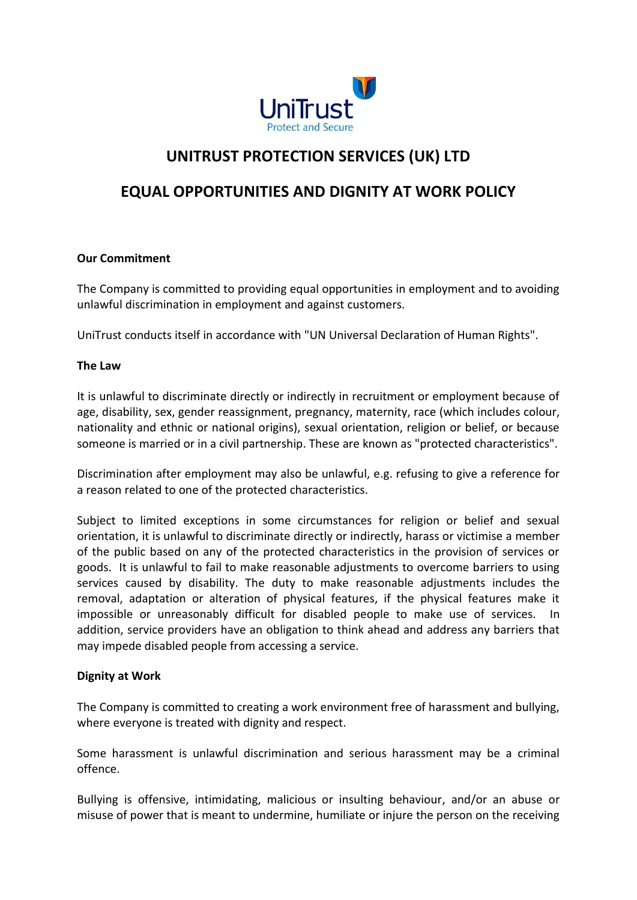

# **UNITRUST PROTECTION SERVICES (UK) LTD**

## **EQUAL OPPORTUNITIES AND DIGNITY AT WORK POLICY**

### **Our Commitment**

The Company is committed to providing equal opportunities in employment and to avoiding unlawful discrimination in employment and against customers.

UniTrust conducts itself in accordance with "UN Universal Declaration of Human Rights".

#### **The Law**

It is unlawful to discriminate directly or indirectly in recruitment or employment because of age, disability, sex, gender reassignment, pregnancy, maternity, race (which includes colour, nationality and ethnic or national origins), sexual orientation, religion or belief, or because someone is married or in a civil partnership. These are known as "protected characteristics".

Discrimination after employment may also be unlawful, e.g. refusing to give a reference for a reason related to one of the protected characteristics.

Subject to limited exceptions in some circumstances for religion or belief and sexual orientation, it is unlawful to discriminate directly or indirectly, harass or victimise a member of the public based on any of the protected characteristics in the provision of services or goods. It is unlawful to fail to make reasonable adjustments to overcome barriers to using services caused by disability. The duty to make reasonable adjustments includes the removal, adaptation or alteration of physical features, if the physical features make it impossible or unreasonably difficult for disabled people to make use of services. In addition, service providers have an obligation to think ahead and address any barriers that may impede disabled people from accessing a service.

#### **Dignity at Work**

The Company is committed to creating a work environment free of harassment and bullying, where everyone is treated with dignity and respect.

Some harassment is unlawful discrimination and serious harassment may be a criminal offence.

Bullying is offensive, intimidating, malicious or insulting behaviour, and/or an abuse or misuse of power that is meant to undermine, humiliate or injure the person on the receiving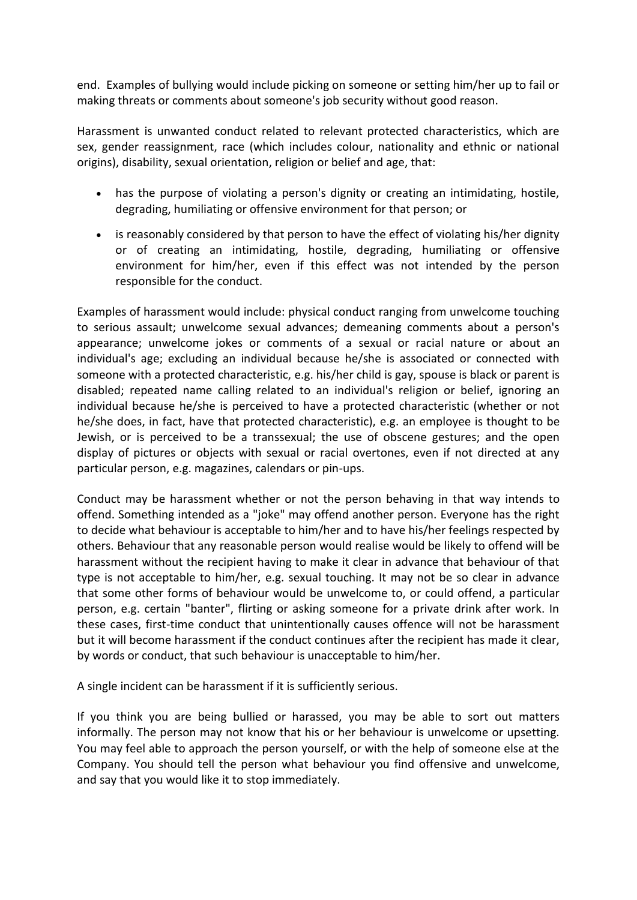end. Examples of bullying would include picking on someone or setting him/her up to fail or making threats or comments about someone's job security without good reason.

Harassment is unwanted conduct related to relevant protected characteristics, which are sex, gender reassignment, race (which includes colour, nationality and ethnic or national origins), disability, sexual orientation, religion or belief and age, that:

- has the purpose of violating a person's dignity or creating an intimidating, hostile, degrading, humiliating or offensive environment for that person; or
- is reasonably considered by that person to have the effect of violating his/her dignity or of creating an intimidating, hostile, degrading, humiliating or offensive environment for him/her, even if this effect was not intended by the person responsible for the conduct.

Examples of harassment would include: physical conduct ranging from unwelcome touching to serious assault; unwelcome sexual advances; demeaning comments about a person's appearance; unwelcome jokes or comments of a sexual or racial nature or about an individual's age; excluding an individual because he/she is associated or connected with someone with a protected characteristic, e.g. his/her child is gay, spouse is black or parent is disabled; repeated name calling related to an individual's religion or belief, ignoring an individual because he/she is perceived to have a protected characteristic (whether or not he/she does, in fact, have that protected characteristic), e.g. an employee is thought to be Jewish, or is perceived to be a transsexual; the use of obscene gestures; and the open display of pictures or objects with sexual or racial overtones, even if not directed at any particular person, e.g. magazines, calendars or pin-ups.

Conduct may be harassment whether or not the person behaving in that way intends to offend. Something intended as a "joke" may offend another person. Everyone has the right to decide what behaviour is acceptable to him/her and to have his/her feelings respected by others. Behaviour that any reasonable person would realise would be likely to offend will be harassment without the recipient having to make it clear in advance that behaviour of that type is not acceptable to him/her, e.g. sexual touching. It may not be so clear in advance that some other forms of behaviour would be unwelcome to, or could offend, a particular person, e.g. certain "banter", flirting or asking someone for a private drink after work. In these cases, first-time conduct that unintentionally causes offence will not be harassment but it will become harassment if the conduct continues after the recipient has made it clear, by words or conduct, that such behaviour is unacceptable to him/her.

A single incident can be harassment if it is sufficiently serious.

If you think you are being bullied or harassed, you may be able to sort out matters informally. The person may not know that his or her behaviour is unwelcome or upsetting. You may feel able to approach the person yourself, or with the help of someone else at the Company. You should tell the person what behaviour you find offensive and unwelcome, and say that you would like it to stop immediately.